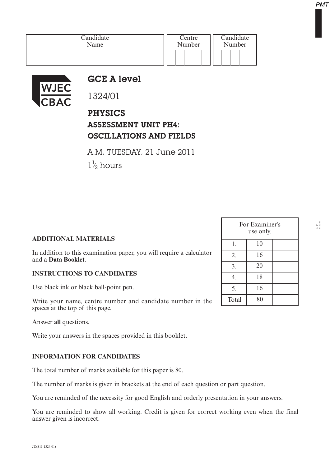| Candidate | Centre | Candidate |  |
|-----------|--------|-----------|--|
| Name      | Number | Number    |  |
|           |        |           |  |



## GCE A level

1324/01

PHYSICS ASSESSMENT UNIT PH4: OSCILLATIONS AND FIELDS

A.M. TUESDAY, 21 June 2011

 $1\frac{1}{2}$  hours ⁄

## **ADDITIONAL MATERIALS**

In addition to this examination paper, you will require a calculator and a **Data Booklet**.

## **INSTRUCTIONS TO CANDIDATES**

Use black ink or black ball-point pen.

Write your name, centre number and candidate number in the spaces at the top of this page.

Answer **all** questions.

Write your answers in the spaces provided in this booklet.

## **INFORMATION FOR CANDIDATES**

The total number of marks available for this paper is 80.

The number of marks is given in brackets at the end of each question or part question.

You are reminded of the necessity for good English and orderly presentation in your answers.

You are reminded to show all working. Credit is given for correct working even when the final answer given is incorrect.

|       | For Examiner's<br>use only. |  |
|-------|-----------------------------|--|
| 1.    | 10                          |  |
| 2.    | 16                          |  |
| 3.    | 20                          |  |
| 4.    | 18                          |  |
| 5.    | 16                          |  |
| Total | 80                          |  |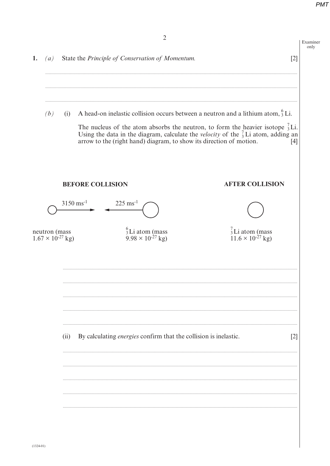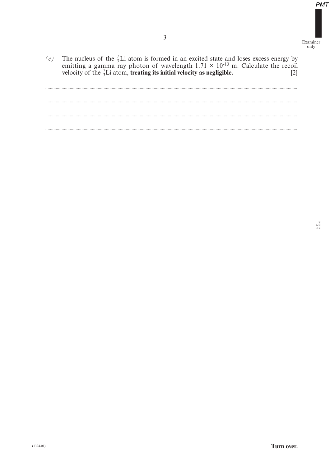The nucleus of the  ${}^{7}_{3}$ Li atom is formed in an excited state and loses excess energy by emitting a gamma ray photon of wavelength  $1.71 \times 10^{-13}$  m. Calculate the recoil velocity of the  ${}^{7}_{3}$ Li atom, **treating its**  $(c)$ 

 $1324$ <br>010003

Turn over.

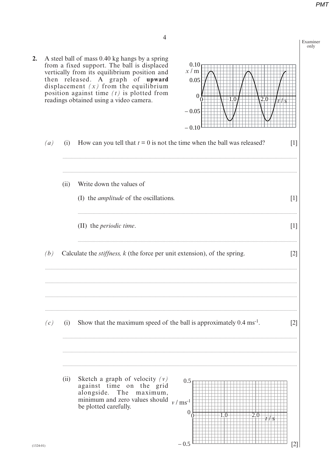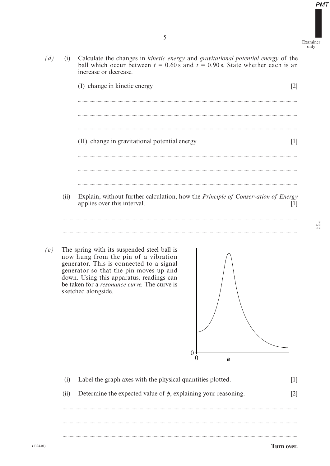5

(i) Calculate the changes in *kinetic energy* and *gravitational potential energy* of the  $(d)$ ball which occur between  $t = 0.60 s$  and  $t = 0.90 s$ . State whether each is an increase or decrease. (I) change in kinetic energy  $\lceil 2 \rceil$ (II) change in gravitational potential energy  $\lceil 1 \rceil$ Explain, without further calculation, how the *Principle of Conservation of Energy*  $(ii)$ applies over this interval.  $[1]$  $(e)$ The spring with its suspended steel ball is now hung from the pin of a vibration generator. This is connected to a signal generator so that the pin moves up and down. Using this apparatus, readings can be taken for a *resonance curve*. The curve is sketched alongside.  $\theta$  $\theta$  $\phi$ Label the graph axes with the physical quantities plotted.  $(i)$  $[1]$ Determine the expected value of  $\phi$ , explaining your reasoning.  $(ii)$  $[2]$ 

 $1324$ <br> $1100005$ 

**PMT** 

Examiner  $\overline{only}$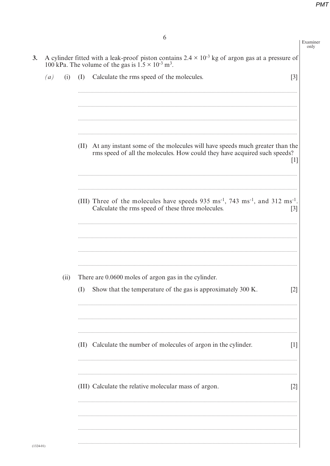|                   |      | 6                                                                                                                                                                                     | Examiner<br>only |
|-------------------|------|---------------------------------------------------------------------------------------------------------------------------------------------------------------------------------------|------------------|
|                   |      | A cylinder fitted with a leak-proof piston contains $2.4 \times 10^{-3}$ kg of argon gas at a pressure of<br>100 kPa. The volume of the gas is $1.5 \times 10^{-3}$ m <sup>3</sup> .  |                  |
| $\left( a\right)$ | (i)  | Calculate the rms speed of the molecules.<br>$[3]$<br>(I)                                                                                                                             |                  |
|                   |      |                                                                                                                                                                                       |                  |
|                   |      |                                                                                                                                                                                       |                  |
|                   |      | At any instant some of the molecules will have speeds much greater than the<br>(II)<br>rms speed of all the molecules. How could they have acquired such speeds?<br>$\lceil 1 \rceil$ |                  |
|                   |      | (III) Three of the molecules have speeds $935 \text{ ms}^{-1}$ , $743 \text{ ms}^{-1}$ , and $312 \text{ ms}^{-1}$ .<br>Calculate the rms speed of these three molecules.<br>$[3]$    |                  |
|                   | (ii) | There are 0.0600 moles of argon gas in the cylinder.<br>Show that the temperature of the gas is approximately 300 K.<br>(I)<br>$\lceil 2 \rceil$                                      |                  |
|                   |      | (II) Calculate the number of molecules of argon in the cylinder.<br>$\lceil 1 \rceil$                                                                                                 |                  |
|                   |      | (III) Calculate the relative molecular mass of argon.<br>$[2]$                                                                                                                        |                  |
|                   |      |                                                                                                                                                                                       |                  |

 $3.$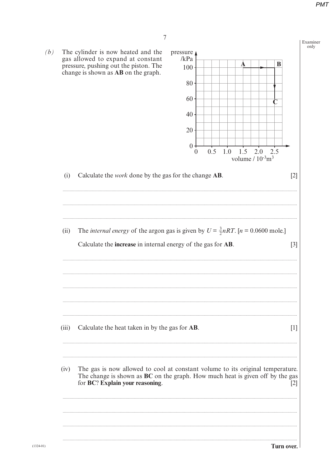

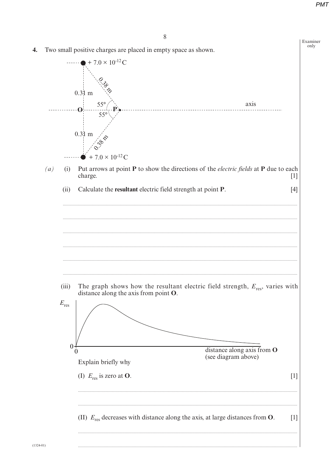

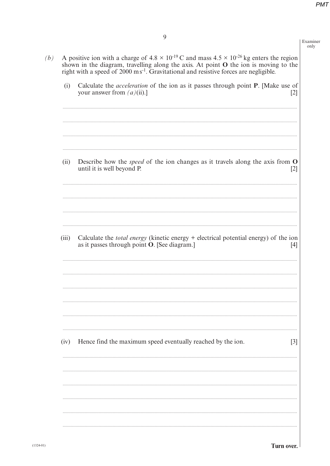Examiner only

 $(b)$ 

A positive ion with a charge of  $4.8 \times 10^{-19}$  C and mass  $4.5 \times 10^{-26}$  kg enters the region shown in the diagram, travelling along the axis. At point **O** the ion is moving to the right with a speed of 2000 ms<sup>-1</sup>. Gravi

| Describe how the <i>speed</i> of the ion changes as it travels along the axis from O<br>(ii)<br>until it is well beyond P.<br>$[2]$<br>Calculate the <i>total energy</i> (kinetic energy + electrical potential energy) of the ion<br>(iii)<br>as it passes through point O. [See diagram.]<br>[4]<br>Hence find the maximum speed eventually reached by the ion.<br>(iv)<br>$[3]$ | (i) | Calculate the <i>acceleration</i> of the ion as it passes through point P. [Make use of<br>your answer from $(a)(ii)$ .]<br>$[2]$ |
|------------------------------------------------------------------------------------------------------------------------------------------------------------------------------------------------------------------------------------------------------------------------------------------------------------------------------------------------------------------------------------|-----|-----------------------------------------------------------------------------------------------------------------------------------|
|                                                                                                                                                                                                                                                                                                                                                                                    |     |                                                                                                                                   |
|                                                                                                                                                                                                                                                                                                                                                                                    |     |                                                                                                                                   |
|                                                                                                                                                                                                                                                                                                                                                                                    |     |                                                                                                                                   |
|                                                                                                                                                                                                                                                                                                                                                                                    |     |                                                                                                                                   |
|                                                                                                                                                                                                                                                                                                                                                                                    |     | Turn over.                                                                                                                        |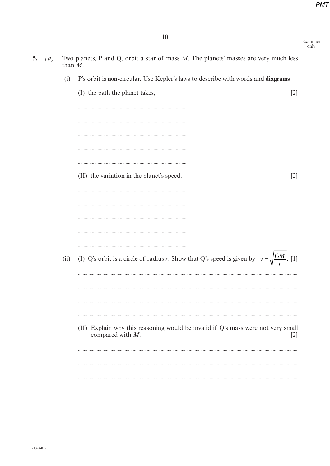10

 $5.$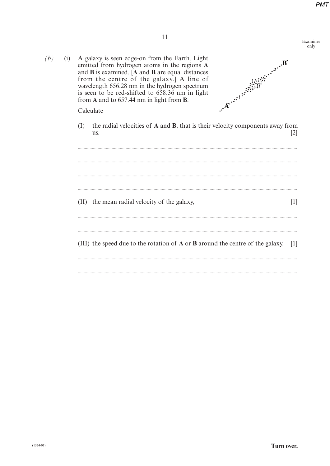Examiner only

 $\lceil 2 \rceil$ 

 $[1]$ 

Armie Halling  $(i)$ A galaxy is seen edge-on from the Earth. Light emitted from hydrogen atoms in the regions A and **B** is examined. [A and **B** are equal distances from the centre of the galaxy.] A line of wavelength 656.28 nm in the hydrogen spectrum is seen to be red-shifted to 658.36 nm in light from A and to  $657.44$  nm in light from B. Calculate the radial velocities of A and B, that is their velocity components away from (I) us. (II) the mean radial velocity of the galaxy, (III) the speed due to the rotation of **A** or **B** around the centre of the galaxy. [1]

 $(b)$